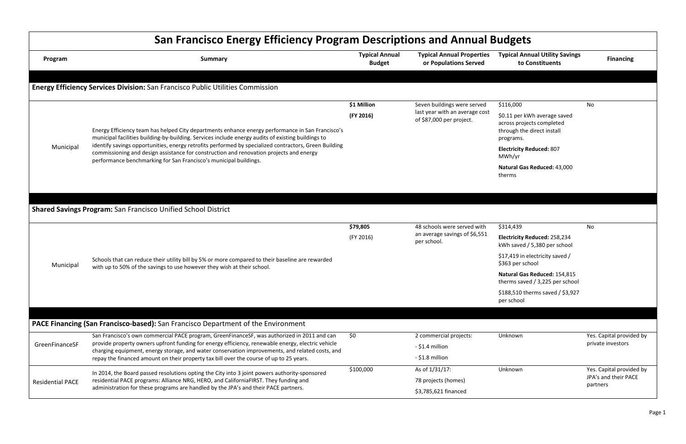|                         | <b>San Francisco Energy Efficiency Program Descriptions and Annual Budgets</b>                                                                                                                                                                                        |                                        |                                                           |                                           |
|-------------------------|-----------------------------------------------------------------------------------------------------------------------------------------------------------------------------------------------------------------------------------------------------------------------|----------------------------------------|-----------------------------------------------------------|-------------------------------------------|
| Program                 | <b>Summary</b>                                                                                                                                                                                                                                                        | <b>Typical Annual</b><br><b>Budget</b> | <b>Typical Annual Properties</b><br>or Populations Served | <b>Typical Ann</b><br>to Co               |
|                         | <b>Energy Efficiency Services Division:</b> San Francisco Public Utilities Commission                                                                                                                                                                                 |                                        |                                                           |                                           |
|                         |                                                                                                                                                                                                                                                                       | \$1 Million                            | Seven buildings were served                               | \$116,000                                 |
|                         |                                                                                                                                                                                                                                                                       | (FY 2016)                              | last year with an average cost                            | \$0.11 per kW                             |
|                         | Energy Efficiency team has helped City departments enhance energy performance in San Francisco's<br>municipal facilities building-by-building. Services include energy audits of existing buildings to                                                                |                                        | of \$87,000 per project.                                  | across projec<br>through the<br>programs. |
| Municipal               | identify savings opportunities, energy retrofits performed by specialized contractors, Green Building<br>commissioning and design assistance for construction and renovation projects and energy<br>performance benchmarking for San Francisco's municipal buildings. |                                        |                                                           | <b>Electricity Re</b><br>MWh/yr           |
|                         |                                                                                                                                                                                                                                                                       |                                        |                                                           | <b>Natural Gas I</b><br>therms            |
|                         |                                                                                                                                                                                                                                                                       |                                        |                                                           |                                           |
|                         |                                                                                                                                                                                                                                                                       |                                        |                                                           |                                           |
|                         | <b>Shared Savings Program: San Francisco Unified School District</b>                                                                                                                                                                                                  |                                        |                                                           |                                           |
|                         |                                                                                                                                                                                                                                                                       | \$79,805                               | 48 schools were served with                               | \$314,439                                 |
| Municipal               | (FY 2016)<br>per school.<br>Schools that can reduce their utility bill by 5% or more compared to their baseline are rewarded<br>with up to 50% of the savings to use however they wish at their school.                                                               |                                        | an average savings of \$6,551                             | <b>Electricity Re</b><br>kWh saved /      |
|                         |                                                                                                                                                                                                                                                                       |                                        | \$17,419 in el<br>\$363 per sch                           |                                           |
|                         |                                                                                                                                                                                                                                                                       |                                        |                                                           | <b>Natural Gas I</b><br>therms saved      |
|                         |                                                                                                                                                                                                                                                                       |                                        |                                                           | \$188,510 the<br>per school               |
|                         |                                                                                                                                                                                                                                                                       |                                        |                                                           |                                           |
|                         | PACE Financing (San Francisco-based): San Francisco Department of the Environment                                                                                                                                                                                     |                                        |                                                           |                                           |
| GreenFinanceSF          | San Francisco's own commercial PACE program, GreenFinanceSF, was authorized in 2011 and can                                                                                                                                                                           | \$0                                    | 2 commercial projects:                                    | Unknown                                   |
|                         | provide property owners upfront funding for energy efficiency, renewable energy, electric vehicle<br>charging equipment, energy storage, and water conservation improvements, and related costs, and                                                                  |                                        | - \$1.4 million                                           |                                           |
|                         | repay the financed amount on their property tax bill over the course of up to 25 years.                                                                                                                                                                               |                                        | - \$1.8 million                                           |                                           |
|                         | In 2014, the Board passed resolutions opting the City into 3 joint powers authority-sponsored                                                                                                                                                                         | \$100,000                              | As of 1/31/17:                                            | Unknown                                   |
| <b>Residential PACE</b> | residential PACE programs: Alliance NRG, HERO, and CaliforniaFIRST. They funding and                                                                                                                                                                                  |                                        | 78 projects (homes)                                       |                                           |
|                         | administration for these programs are handled by the JPA's and their PACE partners.                                                                                                                                                                                   |                                        | \$3,785,621 financed                                      |                                           |

## **Typical Annual Utility Savings to Constituents Financing**  $116,000$ \$0.11 per kWh average saved cross projects completed hrough the direct install programs. **Electricity Reduced:** 807 MWh/yr **Natural Gas Reduced:** 43,000 **nerms** No 314,439 **Electricity Reduced:** 258,234 Wh saved / 5,380 per school 17,419 in electricity saved / 363 per school **Natural Gas Reduced:** 154,815 herms saved / 3,225 per school 188,510 therms saved / \$3,927 per school No Unknown Yes. Capital provided by private investors Unknown Yes. Capital provided by JPA's and their PACE partners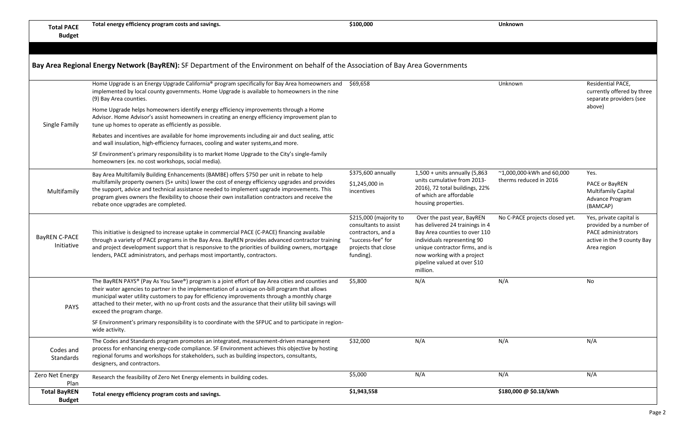**Total PACE Budget**

| Bay Area Regional Energy Network (BayREN): SF Department of the Environment on behalf of the Association of Bay Area Governments |  |  |
|----------------------------------------------------------------------------------------------------------------------------------|--|--|
|----------------------------------------------------------------------------------------------------------------------------------|--|--|

| <b>Total BayREN</b><br><b>Budget</b> | Total energy efficiency program costs and savings.                                                                                                                                                                                                                                                                                                                                                                                                                                                                                                                     | \$1,943,558                                                                                                                    |                                                                                                                                                                                                                                            | \$180,000 @ \$0.18/kWh                                        |                                                                                                                               |
|--------------------------------------|------------------------------------------------------------------------------------------------------------------------------------------------------------------------------------------------------------------------------------------------------------------------------------------------------------------------------------------------------------------------------------------------------------------------------------------------------------------------------------------------------------------------------------------------------------------------|--------------------------------------------------------------------------------------------------------------------------------|--------------------------------------------------------------------------------------------------------------------------------------------------------------------------------------------------------------------------------------------|---------------------------------------------------------------|-------------------------------------------------------------------------------------------------------------------------------|
| Zero Net Energy<br>Plan              | Research the feasibility of Zero Net Energy elements in building codes.                                                                                                                                                                                                                                                                                                                                                                                                                                                                                                | \$5,000                                                                                                                        | N/A                                                                                                                                                                                                                                        | N/A                                                           | N/A                                                                                                                           |
| Codes and<br>Standards               | The Codes and Standards program promotes an integrated, measurement-driven management<br>process for enhancing energy-code compliance. SF Environment achieves this objective by hosting<br>regional forums and workshops for stakeholders, such as building inspectors, consultants,<br>designers, and contractors.                                                                                                                                                                                                                                                   | \$32,000                                                                                                                       | N/A                                                                                                                                                                                                                                        | N/A                                                           | N/A                                                                                                                           |
| <b>PAYS</b>                          | The BayREN PAYS® (Pay As You Save®) program is a joint effort of Bay Area cities and counties and<br>their water agencies to partner in the implementation of a unique on-bill program that allows<br>municipal water utility customers to pay for efficiency improvements through a monthly charge<br>attached to their meter, with no up-front costs and the assurance that their utility bill savings will<br>exceed the program charge.<br>SF Environment's primary responsibility is to coordinate with the SFPUC and to participate in region-<br>wide activity. | \$5,800                                                                                                                        | N/A                                                                                                                                                                                                                                        | N/A                                                           | No                                                                                                                            |
| BayREN C-PACE<br>Initiative          | This initiative is designed to increase uptake in commercial PACE (C-PACE) financing available<br>through a variety of PACE programs in the Bay Area. BayREN provides advanced contractor training<br>and project development support that is responsive to the priorities of building owners, mortgage<br>lenders, PACE administrators, and perhaps most importantly, contractors.                                                                                                                                                                                    | \$215,000 (majority to<br>consultants to assist<br>contractors, and a<br>"success-fee" for<br>projects that close<br>funding). | Over the past year, BayREN<br>has delivered 24 trainings in 4<br>Bay Area counties to over 110<br>individuals representing 90<br>unique contractor firms, and is<br>now working with a project<br>pipeline valued at over \$10<br>million. | No C-PACE projects closed yet.                                | Yes, private capital is<br>provided by a number of<br><b>PACE administrators</b><br>active in the 9 county Bay<br>Area region |
| Multifamily                          | Bay Area Multifamily Building Enhancements (BAMBE) offers \$750 per unit in rebate to help<br>multifamily property owners (5+ units) lower the cost of energy efficiency upgrades and provides<br>the support, advice and technical assistance needed to implement upgrade improvements. This<br>program gives owners the flexibility to choose their own installation contractors and receive the<br>rebate once upgrades are completed.                                                                                                                              | \$375,600 annually<br>\$1,245,000 in<br>incentives                                                                             | $1,500 +$ units annually (5,863<br>units cumulative from 2013-<br>2016), 72 total buildings, 22%<br>of which are affordable<br>housing properties.                                                                                         | $~^{\sim}$ 1,000,000-kWh and 60,000<br>therms reduced in 2016 | Yes.<br>PACE or BayREN<br><b>Multifamily Capital</b><br>Advance Program<br>(BAMCAP)                                           |
|                                      | Rebates and incentives are available for home improvements including air and duct sealing, attic<br>and wall insulation, high-efficiency furnaces, cooling and water systems, and more.<br>SF Environment's primary responsibility is to market Home Upgrade to the City's single-family<br>homeowners (ex. no cost workshops, social media).                                                                                                                                                                                                                          |                                                                                                                                |                                                                                                                                                                                                                                            |                                                               |                                                                                                                               |
| Single Family                        | Home Upgrade helps homeowners identify energy efficiency improvements through a Home<br>Advisor. Home Advisor's assist homeowners in creating an energy efficiency improvement plan to<br>tune up homes to operate as efficiently as possible.                                                                                                                                                                                                                                                                                                                         |                                                                                                                                |                                                                                                                                                                                                                                            |                                                               | above)                                                                                                                        |
|                                      | Home Upgrade is an Energy Upgrade California® program specifically for Bay Area homeowners and<br>implemented by local county governments. Home Upgrade is available to homeowners in the nine<br>(9) Bay Area counties.                                                                                                                                                                                                                                                                                                                                               | \$69,658                                                                                                                       |                                                                                                                                                                                                                                            | Unknown                                                       | Residential PACE,<br>currently offered by three<br>separate providers (see                                                    |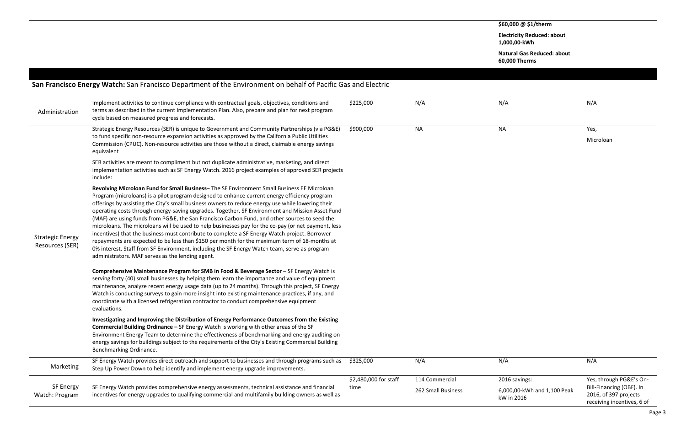**\$60,000 @ \$1/therm Electricity Reduced: about** 

 $1,00$ 

**Nat** 

**60,000 Therms**

| Administration                             | Implement activities to continue compliance with contractual goals, objectives, conditions and<br>terms as described in the current Implementation Plan. Also, prepare and plan for next program<br>cycle based on measured progress and forecasts.                                                                                                                                                                                                                                                                                                                                                                                                                                                                                                                                                                                                                                                                                                              | \$225,000             | N/A                | N/A                                       | N/A                  |
|--------------------------------------------|------------------------------------------------------------------------------------------------------------------------------------------------------------------------------------------------------------------------------------------------------------------------------------------------------------------------------------------------------------------------------------------------------------------------------------------------------------------------------------------------------------------------------------------------------------------------------------------------------------------------------------------------------------------------------------------------------------------------------------------------------------------------------------------------------------------------------------------------------------------------------------------------------------------------------------------------------------------|-----------------------|--------------------|-------------------------------------------|----------------------|
|                                            | Strategic Energy Resources (SER) is unique to Government and Community Partnerships (via PG&E)<br>to fund specific non-resource expansion activities as approved by the California Public Utilities<br>Commission (CPUC). Non-resource activities are those without a direct, claimable energy savings<br>equivalent                                                                                                                                                                                                                                                                                                                                                                                                                                                                                                                                                                                                                                             | \$900,000             | <b>NA</b>          | <b>NA</b>                                 | Yes,<br>Mic          |
|                                            | SER activities are meant to compliment but not duplicate administrative, marketing, and direct<br>implementation activities such as SF Energy Watch. 2016 project examples of approved SER projects<br>include:                                                                                                                                                                                                                                                                                                                                                                                                                                                                                                                                                                                                                                                                                                                                                  |                       |                    |                                           |                      |
| <b>Strategic Energy</b><br>Resources (SER) | Revolving Microloan Fund for Small Business-The SF Environment Small Business EE Microloan<br>Program (microloans) is a pilot program designed to enhance current energy efficiency program<br>offerings by assisting the City's small business owners to reduce energy use while lowering their<br>operating costs through energy-saving upgrades. Together, SF Environment and Mission Asset Fund<br>(MAF) are using funds from PG&E, the San Francisco Carbon Fund, and other sources to seed the<br>microloans. The microloans will be used to help businesses pay for the co-pay (or net payment, less<br>incentives) that the business must contribute to complete a SF Energy Watch project. Borrower<br>repayments are expected to be less than \$150 per month for the maximum term of 18-months at<br>0% interest. Staff from SF Environment, including the SF Energy Watch team, serve as program<br>administrators. MAF serves as the lending agent. |                       |                    |                                           |                      |
|                                            | Comprehensive Maintenance Program for SMB in Food & Beverage Sector - SF Energy Watch is<br>serving forty (40) small businesses by helping them learn the importance and value of equipment<br>maintenance, analyze recent energy usage data (up to 24 months). Through this project, SF Energy<br>Watch is conducting surveys to gain more insight into existing maintenance practices, if any, and<br>coordinate with a licensed refrigeration contractor to conduct comprehensive equipment<br>evaluations.                                                                                                                                                                                                                                                                                                                                                                                                                                                   |                       |                    |                                           |                      |
|                                            | Investigating and Improving the Distribution of Energy Performance Outcomes from the Existing<br><b>Commercial Building Ordinance - SF Energy Watch is working with other areas of the SF</b><br>Environment Energy Team to determine the effectiveness of benchmarking and energy auditing on<br>energy savings for buildings subject to the requirements of the City's Existing Commercial Building<br>Benchmarking Ordinance.                                                                                                                                                                                                                                                                                                                                                                                                                                                                                                                                 |                       |                    |                                           |                      |
| Marketing                                  | SF Energy Watch provides direct outreach and support to businesses and through programs such as<br>Step Up Power Down to help identify and implement energy upgrade improvements.                                                                                                                                                                                                                                                                                                                                                                                                                                                                                                                                                                                                                                                                                                                                                                                | \$325,000             | N/A                | N/A                                       | N/A                  |
|                                            |                                                                                                                                                                                                                                                                                                                                                                                                                                                                                                                                                                                                                                                                                                                                                                                                                                                                                                                                                                  | \$2,480,000 for staff | 114 Commercial     | 2016 savings:                             | Yes,                 |
| <b>SF Energy</b><br>Watch: Program         | SF Energy Watch provides comprehensive energy assessments, technical assistance and financial<br>incentives for energy upgrades to qualifying commercial and multifamily building owners as well as                                                                                                                                                                                                                                                                                                                                                                                                                                                                                                                                                                                                                                                                                                                                                              | time                  | 262 Small Business | 6,000,00-kWh and 1,100 Peak<br>kW in 2016 | Bill-<br>201<br>rece |

| \$60,000 @ \$1/therm                               |                                                     |
|----------------------------------------------------|-----------------------------------------------------|
| <b>Electricity Reduced: about</b><br>1,000,00-kWh  |                                                     |
| <b>Natural Gas Reduced: about</b><br>60,000 Therms |                                                     |
|                                                    |                                                     |
|                                                    |                                                     |
| N/A                                                | N/A                                                 |
|                                                    |                                                     |
| <b>NA</b>                                          | Yes,                                                |
|                                                    | Microloan                                           |
|                                                    |                                                     |
|                                                    |                                                     |
|                                                    |                                                     |
|                                                    |                                                     |
|                                                    |                                                     |
|                                                    |                                                     |
|                                                    |                                                     |
|                                                    |                                                     |
|                                                    |                                                     |
|                                                    |                                                     |
|                                                    |                                                     |
|                                                    |                                                     |
|                                                    |                                                     |
|                                                    |                                                     |
|                                                    |                                                     |
|                                                    |                                                     |
|                                                    |                                                     |
|                                                    |                                                     |
|                                                    |                                                     |
|                                                    |                                                     |
| N/A                                                | N/A                                                 |
| 2016 savings:                                      | Yes, through PG&E's On-                             |
| 6,000,00-kWh and 1,100 Peak                        | Bill-Financing (OBF). In                            |
| kW in 2016                                         | 2016, of 397 projects<br>receiving incentives, 6 of |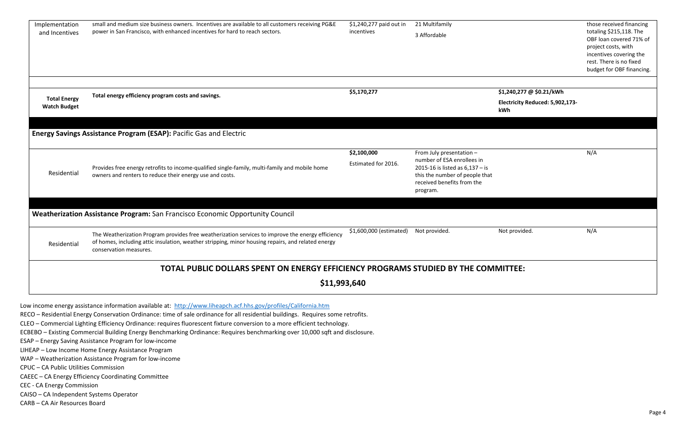| Implementation<br>and Incentives                                                   | small and medium size business owners. Incentives are available to all customers receiving PG&E<br>power in San Francisco, with enhanced incentives for hard to reach sectors.                                                    | \$1,240,277 paid out in<br>incentives | 21 Multifamily<br>3 Affordable                                                                                                                                          |                                        | those received financing<br>totaling \$215,118. The<br>OBF loan covered 71% of<br>project costs, with<br>incentives covering the<br>rest. There is no fixed<br>budget for OBF financing. |  |  |
|------------------------------------------------------------------------------------|-----------------------------------------------------------------------------------------------------------------------------------------------------------------------------------------------------------------------------------|---------------------------------------|-------------------------------------------------------------------------------------------------------------------------------------------------------------------------|----------------------------------------|------------------------------------------------------------------------------------------------------------------------------------------------------------------------------------------|--|--|
|                                                                                    | Total energy efficiency program costs and savings.                                                                                                                                                                                | \$5,170,277                           |                                                                                                                                                                         | \$1,240,277 @ \$0.21/kWh               |                                                                                                                                                                                          |  |  |
| <b>Total Energy</b><br><b>Watch Budget</b>                                         |                                                                                                                                                                                                                                   |                                       |                                                                                                                                                                         | Electricity Reduced: 5,902,173-<br>kWh |                                                                                                                                                                                          |  |  |
|                                                                                    | <b>Energy Savings Assistance Program (ESAP): Pacific Gas and Electric</b>                                                                                                                                                         |                                       |                                                                                                                                                                         |                                        |                                                                                                                                                                                          |  |  |
| Residential                                                                        | Provides free energy retrofits to income-qualified single-family, multi-family and mobile home<br>owners and renters to reduce their energy use and costs.                                                                        | \$2,100,000<br>Estimated for 2016.    | From July presentation -<br>number of ESA enrollees in<br>2015-16 is listed as $6,137 -$ is<br>this the number of people that<br>received benefits from the<br>program. |                                        | N/A                                                                                                                                                                                      |  |  |
|                                                                                    |                                                                                                                                                                                                                                   |                                       |                                                                                                                                                                         |                                        |                                                                                                                                                                                          |  |  |
|                                                                                    | Weatherization Assistance Program: San Francisco Economic Opportunity Council                                                                                                                                                     |                                       |                                                                                                                                                                         |                                        |                                                                                                                                                                                          |  |  |
| Residential                                                                        | The Weatherization Program provides free weatherization services to improve the energy efficiency<br>of homes, including attic insulation, weather stripping, minor housing repairs, and related energy<br>conservation measures. | \$1,600,000 (estimated)               | Not provided.                                                                                                                                                           | Not provided.                          | N/A                                                                                                                                                                                      |  |  |
| TOTAL PUBLIC DOLLARS SPENT ON ENERGY EFFICIENCY PROGRAMS STUDIED BY THE COMMITTEE: |                                                                                                                                                                                                                                   |                                       |                                                                                                                                                                         |                                        |                                                                                                                                                                                          |  |  |
|                                                                                    | \$11,993,640                                                                                                                                                                                                                      |                                       |                                                                                                                                                                         |                                        |                                                                                                                                                                                          |  |  |

Low income energy assistance information available at: <http://www.liheapch.acf.hhs.gov/profiles/California.htm>

RECO – Residential Energy Conservation Ordinance: time of sale ordinance for all residential buildings. Requires some retrofits.

CLEO – Commercial Lighting Efficiency Ordinance: requires fluorescent fixture conversion to a more efficient technology.

ECBEBO – Existing Commercial Building Energy Benchmarking Ordinance: Requires benchmarking over 10,000 sqft and disclosure.

ESAP – Energy Saving Assistance Program for low-income

LIHEAP – Low Income Home Energy Assistance Program

WAP – Weatherization Assistance Program for low-income

CPUC – CA Public Utilities Commission

CAEEC – CA Energy Efficiency Coordinating Committee

CEC - CA Energy Commission

CAISO – CA Independent Systems Operator

CARB – CA Air Resources Board